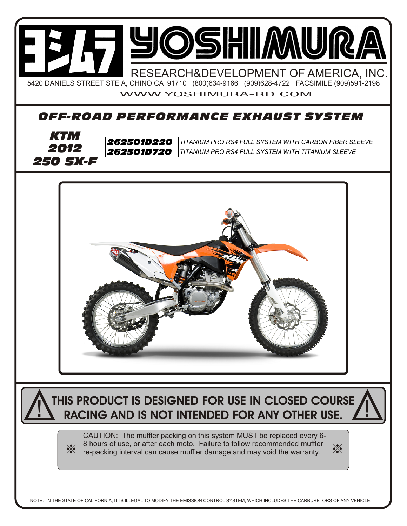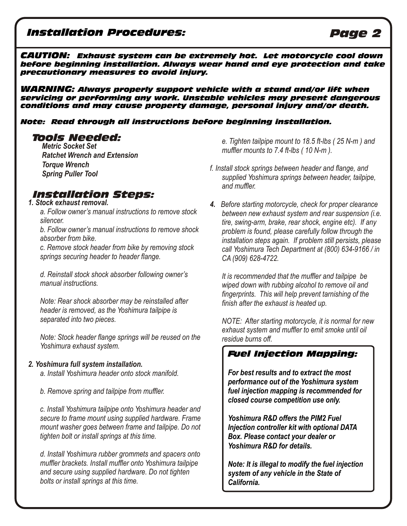## *Installation Procedures: Page 2*

*CAUTION: Exhaust system can be extremely hot. Let motorcycle cool down before beginning installation. Always wear hand and eye protection and take precautionary measures to avoid injury.*

*WARNING: Always properly support vehicle with a stand and/or lift when servicing or performing any work. Unstable vehicles may present dangerous conditions and may cause property damage, personal injury and/or death.* 

#### *Note: Read through all instructions before beginning installation.*

*Metric Socket Set Ratchet Wrench and Extension Torque Wrench Spring Puller Tool*

# *Installation Steps:*

### *1. Stock exhaust removal.*

*a. Follow owner's manual instructions to remove stock silencer.* 

*b. Follow owner's manual instructions to remove shock absorber from bike.* 

*c. Remove stock header from bike by removing stock springs securing header to header flange.* 

*d. Reinstall stock shock absorber following owner's manual instructions.*

*Note: Rear shock absorber may be reinstalled after header is removed, as the Yoshimura tailpipe is separated into two pieces.* 

*Note: Stock header flange springs will be reused on the Yoshimura exhaust system.*

### *2. Yoshimura full system installation.*

*a. Install Yoshimura header onto stock manifold.* 

*b. Remove spring and tailpipe from muffler.*

*c. Install Yoshimura tailpipe onto Yoshimura header and secure to frame mount using supplied hardware. Frame mount washer goes between frame and tailpipe. Do not tighten bolt or install springs at this time.* 

*d. Install Yoshimura rubber grommets and spacers onto muffler brackets. Install muffler onto Yoshimura tailpipe and secure using supplied hardware. Do not tighten bolts or install springs at this time.*

*Tools Needed: e. Tighten tailpipe mount to 18.5 ft-lbs ( 25 N-m ) and muffler mounts to 7.4 ft-lbs ( 10 N-m ).*

- *f. Install stock springs between header and flange, and supplied Yoshimura springs between header, tailpipe, and muffler.*
- *4. Before starting motorcycle, check for proper clearance between new exhaust system and rear suspension (i.e. tire, swing-arm, brake, rear shock, engine etc). If any problem is found, please carefully follow through the installation steps again. If problem still persists, please call Yoshimura Tech Department at (800) 634-9166 / in CA (909) 628-4722.*

*It is recommended that the muffler and tailpipe be wiped down with rubbing alcohol to remove oil and fingerprints. This will help prevent tarnishing of the finish after the exhaust is heated up.*

*NOTE: After starting motorcycle, it is normal for new exhaust system and muffler to emit smoke until oil residue burns off.*

## *Fuel Injection Mapping:*

*For best results and to extract the most performance out of the Yoshimura system fuel injection mapping is recommended for closed course competition use only.* 

*Yoshimura R&D offers the PIM2 Fuel Injection controller kit with optional DATA Box. Please contact your dealer or Yoshimura R&D for details.*

*Note: It is illegal to modify the fuel injection system of any vehicle in the State of California.*